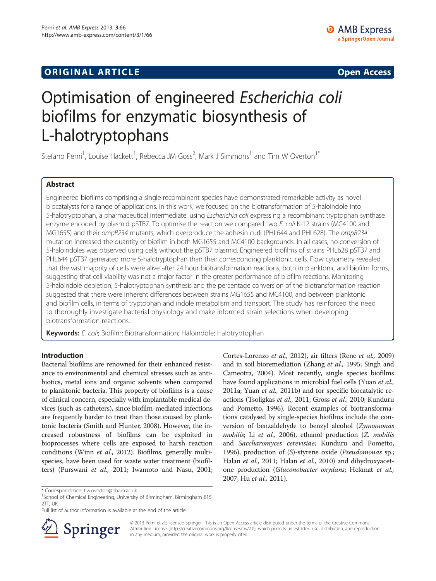# **ORIGINAL ARTICLE CONSERVANCE IN A LOCAL CONSERVANCE IN A LOCAL CONSERVANCE IN A LOCAL CONSERVANCE IN A LOCAL CONSERVANCE IN A LOCAL CONSERVANCE IN A LOCAL CONSERVANCE IN A LOCAL CONSERVANCE IN A LOCAL CONSERVANCE IN A L**

# Optimisation of engineered Escherichia coli biofilms for enzymatic biosynthesis of L-halotryptophans

Stefano Perni<sup>1</sup>, Louise Hackett<sup>1</sup>, Rebecca JM Goss<sup>2</sup>, Mark J Simmons<sup>1</sup> and Tim W Overton<sup>1\*</sup>

# Abstract

Engineered biofilms comprising a single recombinant species have demonstrated remarkable activity as novel biocatalysts for a range of applications. In this work, we focused on the biotransformation of 5-haloindole into 5-halotryptophan, a pharmaceutical intermediate, using Escherichia coli expressing a recombinant tryptophan synthase enzyme encoded by plasmid pSTB7. To optimise the reaction we compared two E. coli K-12 strains (MC4100 and MG1655) and their ompR234 mutants, which overproduce the adhesin curli (PHL644 and PHL628). The ompR234 mutation increased the quantity of biofilm in both MG1655 and MC4100 backgrounds. In all cases, no conversion of 5-haloindoles was observed using cells without the pSTB7 plasmid. Engineered biofilms of strains PHL628 pSTB7 and PHL644 pSTB7 generated more 5-halotryptophan than their corresponding planktonic cells. Flow cytometry revealed that the vast majority of cells were alive after 24 hour biotransformation reactions, both in planktonic and biofilm forms, suggesting that cell viability was not a major factor in the greater performance of biofilm reactions. Monitoring 5-haloindole depletion, 5-halotryptophan synthesis and the percentage conversion of the biotransformation reaction suggested that there were inherent differences between strains MG1655 and MC4100, and between planktonic and biofilm cells, in terms of tryptophan and indole metabolism and transport. The study has reinforced the need to thoroughly investigate bacterial physiology and make informed strain selections when developing biotransformation reactions.

Keywords: E. coli; Biofilm; Biotransformation; Haloindole; Halotryptophan

# Introduction

Bacterial biofilms are renowned for their enhanced resistance to environmental and chemical stresses such as antibiotics, metal ions and organic solvents when compared to planktonic bacteria. This property of biofilms is a cause of clinical concern, especially with implantable medical devices (such as catheters), since biofilm-mediated infections are frequently harder to treat than those caused by planktonic bacteria (Smith and Hunter, [2008\)](#page-9-0). However, the increased robustness of biofilms can be exploited in bioprocesses where cells are exposed to harsh reaction conditions (Winn et al., [2012](#page-9-0)). Biofilms, generally multispecies, have been used for waste water treatment (biofilters) (Purswani et al., [2011](#page-9-0); Iwamoto and Nasu, [2001](#page-9-0); Cortes-Lorenzo et al., [2012\)](#page-8-0), air filters (Rene et al., [2009](#page-9-0)) and in soil bioremediation (Zhang et al., [1995](#page-9-0); Singh and Cameotra, [2004\)](#page-9-0). Most recently, single species biofilms have found applications in microbial fuel cells (Yuan et al., [2011a](#page-9-0); Yuan et al., [2011b](#page-9-0)) and for specific biocatalytic reactions (Tsoligkas et al., [2011;](#page-9-0) Gross et al., [2010](#page-8-0); Kunduru and Pometto, [1996\)](#page-9-0). Recent examples of biotransformations catalysed by single-species biofilms include the conversion of benzaldehyde to benzyl alcohol (Zymomonas mobilis; Li et al., [2006\)](#page-9-0), ethanol production (Z. mobilis and Saccharomyces cerevisiae; Kunduru and Pometto, [1996](#page-9-0)), production of (S)-styrene oxide (Pseudomonas sp.; Halan et al., [2011](#page-9-0); Halan et al., [2010\)](#page-8-0) and dihydroxyacetone production (Gluconobacter oxydans; Hekmat et al., [2007](#page-9-0); Hu et al., [2011\)](#page-9-0).

Full list of author information is available at the end of the article



© 2013 Perni et al.; licensee Springer. This is an Open Access article distributed under the terms of the Creative Commons Attribution License [\(http://creativecommons.org/licenses/by/2.0\)](http://creativecommons.org/licenses/by/2.0), which permits unrestricted use, distribution, and reproduction in any medium, provided the original work is properly cited.

<sup>\*</sup> Correspondence: [t.w.overton@bham.ac.uk](mailto:t.w.overton@bham.ac.uk) <sup>1</sup>

<sup>&</sup>lt;sup>1</sup>School of Chemical Engineering, University of Birmingham, Birmingham B15 2TT, UK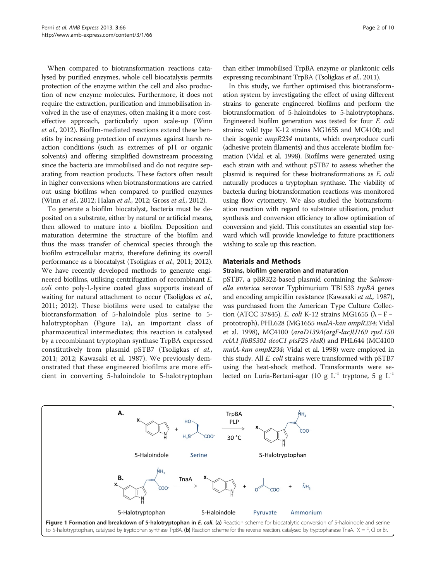<span id="page-1-0"></span>When compared to biotransformation reactions catalysed by purified enzymes, whole cell biocatalysis permits protection of the enzyme within the cell and also production of new enzyme molecules. Furthermore, it does not require the extraction, purification and immobilisation involved in the use of enzymes, often making it a more costeffective approach, particularly upon scale-up (Winn et al., [2012\)](#page-9-0). Biofilm-mediated reactions extend these benefits by increasing protection of enzymes against harsh reaction conditions (such as extremes of pH or organic solvents) and offering simplified downstream processing since the bacteria are immobilised and do not require separating from reaction products. These factors often result in higher conversions when biotransformations are carried out using biofilms when compared to purified enzymes (Winn et al., [2012;](#page-9-0) Halan et al., 2012; Gross et al., [2012\)](#page-8-0).

To generate a biofilm biocatalyst, bacteria must be deposited on a substrate, either by natural or artificial means, then allowed to mature into a biofilm. Deposition and maturation determine the structure of the biofilm and thus the mass transfer of chemical species through the biofilm extracellular matrix, therefore defining its overall performance as a biocatalyst (Tsoligkas et al., [2011](#page-9-0); [2012](#page-9-0)). We have recently developed methods to generate engineered biofilms, utilising centrifugation of recombinant E. coli onto poly-L-lysine coated glass supports instead of waiting for natural attachment to occur (Tsoligkas et al., [2011; 2012\)](#page-9-0). These biofilms were used to catalyse the biotransformation of 5-haloindole plus serine to 5 halotryptophan (Figure 1a), an important class of pharmaceutical intermediates; this reaction is catalysed by a recombinant tryptophan synthase TrpBA expressed constitutively from plasmid pSTB7 (Tsoligkas et al., [2011; 2012;](#page-9-0) Kawasaki et al. [1987](#page-9-0)). We previously demonstrated that these engineered biofilms are more efficient in converting 5-haloindole to 5-halotryptophan

than either immobilised TrpBA enzyme or planktonic cells expressing recombinant TrpBA (Tsoligkas et al., [2011\)](#page-9-0).

In this study, we further optimised this biotransformation system by investigating the effect of using different strains to generate engineered biofilms and perform the biotransformation of 5-haloindoles to 5-halotryptophans. Engineered biofilm generation was tested for four E. coli strains: wild type K-12 strains MG1655 and MC4100; and their isogenic *ompR234* mutants, which overproduce curli (adhesive protein filaments) and thus accelerate biofilm formation (Vidal et al. [1998](#page-9-0)). Biofilms were generated using each strain with and without pSTB7 to assess whether the plasmid is required for these biotransformations as E. coli naturally produces a tryptophan synthase. The viability of bacteria during biotransformation reactions was monitored using flow cytometry. We also studied the biotransformation reaction with regard to substrate utilisation, product synthesis and conversion efficiency to allow optimisation of conversion and yield. This constitutes an essential step forward which will provide knowledge to future practitioners wishing to scale up this reaction.

# Materials and Methods

#### Strains, biofilm generation and maturation

pSTB7, a pBR322-based plasmid containing the Salmonella enterica serovar Typhimurium TB1533 trpBA genes and encoding ampicillin resistance (Kawasaki et al., 1987), was purchased from the American Type Culture Collection (ATCC 37845). E. coli K-12 strains MG1655 ( $\lambda$  – F – prototroph), PHL628 (MG1655 malA-kan ompR234; Vidal et al. [1998](#page-9-0)), MC4100 (araD139Δ(argF-lac)U169 rpsL150 relA1 flbB5301 deoC1 ptsF25 rbsR) and PHL644 (MC4100 malA-kan ompR234; Vidal et al. [1998](#page-9-0)) were employed in this study. All E. coli strains were transformed with pSTB7 using the heat-shock method. Transformants were selected on Luria-Bertani-agar (10 g  $L^{-1}$  tryptone, 5 g  $L^{-1}$ 

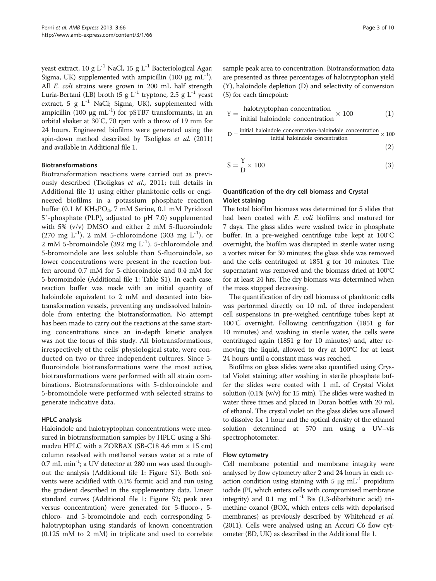yeast extract, 10 g  $L^{-1}$  NaCl, 15 g  $L^{-1}$  Bacteriological Agar; Sigma, UK) supplemented with ampicillin (100 μg mL<sup>-1</sup>). All E. coli strains were grown in 200 mL half strength Luria-Bertani (LB) broth (5 g  $L^{-1}$  tryptone, 2.5 g  $L^{-1}$  yeast extract, 5 g  $L^{-1}$  NaCl; Sigma, UK), supplemented with ampicillin (100 μg mL<sup>-1</sup>) for pSTB7 transformants, in an orbital shaker at 30°C, 70 rpm with a throw of 19 mm for 24 hours. Engineered biofilms were generated using the spin-down method described by Tsoligkas et al. [\(2011](#page-9-0)) and available in Additional file [1](#page-8-0).

# Biotransformations

Biotransformation reactions were carried out as previously described (Tsoligkas et al., [2011;](#page-9-0) full details in Additional file [1](#page-8-0)) using either planktonic cells or engineered biofilms in a potassium phosphate reaction buffer (0.1 M  $KH_2PO_4$ , 7 mM Serine, 0.1 mM Pyridoxal 5′-phosphate (PLP), adjusted to pH 7.0) supplemented with 5% (v/v) DMSO and either 2 mM 5-fluoroindole (270 mg  $L^{-1}$ ), 2 mM 5-chloroindone (303 mg  $L^{-1}$ ), or 2 mM 5-bromoindole (392 mg  $L^{-1}$ ). 5-chloroindole and 5-bromoindole are less soluble than 5-fluoroindole, so lower concentrations were present in the reaction buffer; around 0.7 mM for 5-chloroindole and 0.4 mM for 5-bromoindole (Additional file [1](#page-8-0): Table S1). In each case, reaction buffer was made with an initial quantity of haloindole equivalent to 2 mM and decanted into biotransformation vessels, preventing any undissolved haloindole from entering the biotransformation. No attempt has been made to carry out the reactions at the same starting concentrations since an in-depth kinetic analysis was not the focus of this study. All biotransformations, irrespectively of the cells' physiological state, were conducted on two or three independent cultures. Since 5 fluoroindole biotransformations were the most active, biotransformations were performed with all strain combinations. Biotransformations with 5-chloroindole and 5-bromoindole were performed with selected strains to generate indicative data.

# HPLC analysis

Haloindole and halotryptophan concentrations were measured in biotransformation samples by HPLC using a Shimadzu HPLC with a ZORBAX (SB-C18 4.6 mm  $\times$  15 cm) column resolved with methanol versus water at a rate of 0.7 mL min-1; a UV detector at 280 nm was used throughout the analysis (Additional file [1](#page-8-0): Figure S1). Both solvents were acidified with 0.1% formic acid and run using the gradient described in the supplementary data. Linear standard curves (Additional file [1:](#page-8-0) Figure S2; peak area versus concentration) were generated for 5-fluoro-, 5 chloro- and 5-bromoindole and each corresponding 5 halotryptophan using standards of known concentration (0.125 mM to 2 mM) in triplicate and used to correlate sample peak area to concentration. Biotransformation data are presented as three percentages of halotryptophan yield (Y), haloindole depletion (D) and selectivity of conversion (S) for each timepoint:

$$
Y = \frac{\text{halotryptophan concentration}}{\text{initial haloindole concentration}} \times 100\tag{1}
$$

$$
D = \frac{initial \ haloinlole \ concentration\-haloinlole \ concentration} \times 100
$$
initial haloinlole concentration (2)

$$
S = \frac{Y}{D} \times 100\tag{3}
$$

# Quantification of the dry cell biomass and Crystal Violet staining

The total biofilm biomass was determined for 5 slides that had been coated with E. coli biofilms and matured for 7 days. The glass slides were washed twice in phosphate buffer. In a pre-weighed centrifuge tube kept at 100°C overnight, the biofilm was disrupted in sterile water using a vortex mixer for 30 minutes; the glass slide was removed and the cells centrifuged at 1851 g for 10 minutes. The supernatant was removed and the biomass dried at 100°C for at least 24 hrs. The dry biomass was determined when the mass stopped decreasing.

The quantification of dry cell biomass of planktonic cells was performed directly on 10 mL of three independent cell suspensions in pre-weighed centrifuge tubes kept at 100°C overnight. Following centrifugation (1851 g for 10 minutes) and washing in sterile water, the cells were centrifuged again (1851 g for 10 minutes) and, after removing the liquid, allowed to dry at 100°C for at least 24 hours until a constant mass was reached.

Biofilms on glass slides were also quantified using Crystal Violet staining; after washing in sterile phosphate buffer the slides were coated with 1 mL of Crystal Violet solution (0.1% (w/v) for 15 min). The slides were washed in water three times and placed in Duran bottles with 20 mL of ethanol. The crystal violet on the glass slides was allowed to dissolve for 1 hour and the optical density of the ethanol solution determined at 570 nm using a UV–vis spectrophotometer.

## Flow cytometry

Cell membrane potential and membrane integrity were analysed by flow cytometry after 2 and 24 hours in each reaction condition using staining with 5  $\mu$ g mL<sup>-1</sup> propidium iodide (PI, which enters cells with compromised membrane integrity) and  $0.1$  mg  $mL^{-1}$  Bis (1,3-dibarbituric acid) trimethine oxanol (BOX, which enters cells with depolarised membranes) as previously described by Whitehead *et al.* ([2011\)](#page-9-0). Cells were analysed using an Accuri C6 flow cytometer (BD, UK) as described in the Additional file [1](#page-8-0).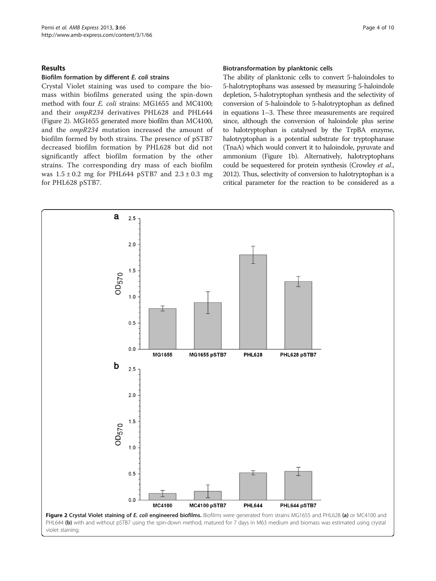# <span id="page-3-0"></span>Results

### Biofilm formation by different E. coli strains

Crystal Violet staining was used to compare the biomass within biofilms generated using the spin-down method with four E. coli strains: MG1655 and MC4100; and their ompR234 derivatives PHL628 and PHL644 (Figure 2). MG1655 generated more biofilm than MC4100, and the ompR234 mutation increased the amount of biofilm formed by both strains. The presence of pSTB7 decreased biofilm formation by PHL628 but did not significantly affect biofilm formation by the other strains. The corresponding dry mass of each biofilm was  $1.5 \pm 0.2$  mg for PHL644 pSTB7 and  $2.3 \pm 0.3$  mg for PHL628 pSTB7.

#### Biotransformation by planktonic cells

The ability of planktonic cells to convert 5-haloindoles to 5-halotryptophans was assessed by measuring 5-haloindole depletion, 5-halotryptophan synthesis and the selectivity of conversion of 5-haloindole to 5-halotryptophan as defined in equations 1–3. These three measurements are required since, although the conversion of haloindole plus serine to halotryptophan is catalysed by the TrpBA enzyme, halotryptophan is a potential substrate for tryptophanase (TnaA) which would convert it to haloindole, pyruvate and ammonium (Figure [1](#page-1-0)b). Alternatively, halotryptophans could be sequestered for protein synthesis (Crowley et al., [2012\)](#page-8-0). Thus, selectivity of conversion to halotryptophan is a critical parameter for the reaction to be considered as a

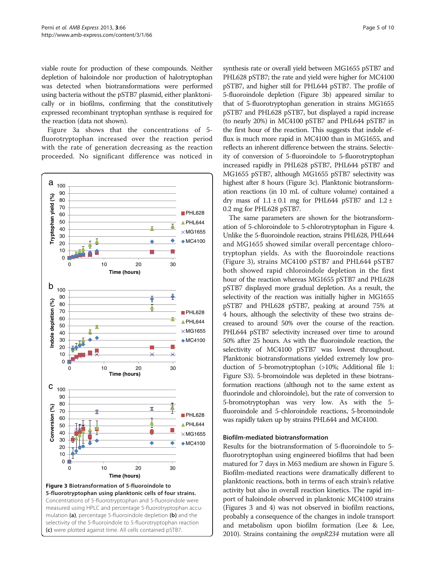<span id="page-4-0"></span>viable route for production of these compounds. Neither depletion of haloindole nor production of halotryptophan was detected when biotransformations were performed using bacteria without the pSTB7 plasmid, either planktonically or in biofilms, confirming that the constitutively expressed recombinant tryptophan synthase is required for the reaction (data not shown).

Figure 3a shows that the concentrations of 5 fluorotryptophan increased over the reaction period with the rate of generation decreasing as the reaction proceeded. No significant difference was noticed in



synthesis rate or overall yield between MG1655 pSTB7 and PHL628 pSTB7; the rate and yield were higher for MC4100 pSTB7, and higher still for PHL644 pSTB7. The profile of 5-fluoroindole depletion (Figure 3b) appeared similar to that of 5-fluorotryptophan generation in strains MG1655 pSTB7 and PHL628 pSTB7, but displayed a rapid increase (to nearly 20%) in MC4100 pSTB7 and PHL644 pSTB7 in the first hour of the reaction. This suggests that indole efflux is much more rapid in MC4100 than in MG1655, and reflects an inherent difference between the strains. Selectivity of conversion of 5-fluoroindole to 5-fluorotryptophan increased rapidly in PHL628 pSTB7, PHL644 pSTB7 and MG1655 pSTB7, although MG1655 pSTB7 selectivity was highest after 8 hours (Figure 3c). Planktonic biotransformation reactions (in 10 mL of culture volume) contained a dry mass of  $1.1 \pm 0.1$  mg for PHL644 pSTB7 and  $1.2 \pm$ 0.2 mg for PHL628 pSTB7.

The same parameters are shown for the biotransformation of 5-chloroindole to 5-chlorotryptophan in Figure [4](#page-5-0). Unlike the 5-fluoroindole reaction, strains PHL628, PHL644 and MG1655 showed similar overall percentage chlorotryptophan yields. As with the fluoroindole reactions (Figure 3), strains MC4100 pSTB7 and PHL644 pSTB7 both showed rapid chloroindole depletion in the first hour of the reaction whereas MG1655 pSTB7 and PHL628 pSTB7 displayed more gradual depletion. As a result, the selectivity of the reaction was initially higher in MG1655 pSTB7 and PHL628 pSTB7, peaking at around 75% at 4 hours, although the selectivity of these two strains decreased to around 50% over the course of the reaction. PHL644 pSTB7 selectivity increased over time to around 50% after 25 hours. As with the fluoroindole reaction, the selectivity of MC4100 pSTB7 was lowest throughout. Planktonic biotransformations yielded extremely low production of 5-bromotryptophan (>10%; Additional file [1](#page-8-0): Figure S3). 5-bromoindole was depleted in these biotransformation reactions (although not to the same extent as fluorindole and chloroindole), but the rate of conversion to 5-bromotryptophan was very low. As with the 5 fluoroindole and 5-chloroindole reactions, 5-bromoindole was rapidly taken up by strains PHL644 and MC4100.

# Biofilm-mediated biotransformation

Results for the biotransformation of 5-fluoroindole to 5 fluorotryptophan using engineered biofilms that had been matured for 7 days in M63 medium are shown in Figure [5](#page-5-0). Biofilm-mediated reactions were dramatically different to planktonic reactions, both in terms of each strain's relative activity but also in overall reaction kinetics. The rapid import of haloindole observed in planktonic MC4100 strains (Figures 3 and [4](#page-5-0)) was not observed in biofilm reactions, probably a consequence of the changes in indole transport and metabolism upon biofilm formation (Lee & Lee, [2010\)](#page-9-0). Strains containing the ompR234 mutation were all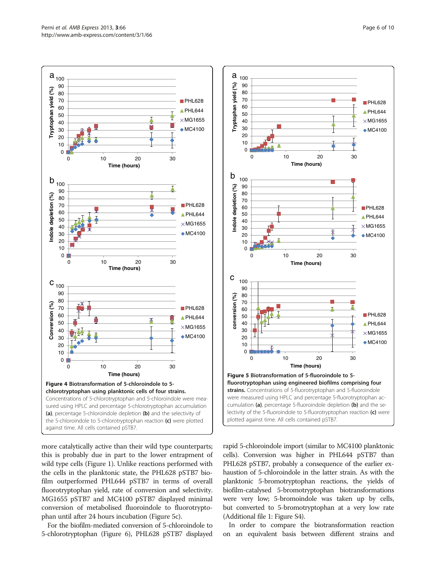<span id="page-5-0"></span>

more catalytically active than their wild type counterparts; this is probably due in part to the lower entrapment of wild type cells (Figure [1](#page-1-0)). Unlike reactions performed with the cells in the planktonic state, the PHL628 pSTB7 biofilm outperformed PHL644 pSTB7 in terms of overall fluorotryptophan yield, rate of conversion and selectivity. MG1655 pSTB7 and MC4100 pSTB7 displayed minimal conversion of metabolised fluoroindole to fluorotryptophan until after 24 hours incubation (Figure 5c).

For the biofilm-mediated conversion of 5-chloroindole to 5-chlorotryptophan (Figure [6](#page-6-0)), PHL628 pSTB7 displayed



rapid 5-chloroindole import (similar to MC4100 planktonic cells). Conversion was higher in PHL644 pSTB7 than PHL628 pSTB7, probably a consequence of the earlier exhaustion of 5-chloroindole in the latter strain. As with the planktonic 5-bromotryptophan reactions, the yields of biofilm-catalysed 5-bromotryptophan biotransformations were very low; 5-bromoindole was taken up by cells, but converted to 5-bromotryptophan at a very low rate (Additional file [1:](#page-8-0) Figure S4).

In order to compare the biotransformation reaction on an equivalent basis between different strains and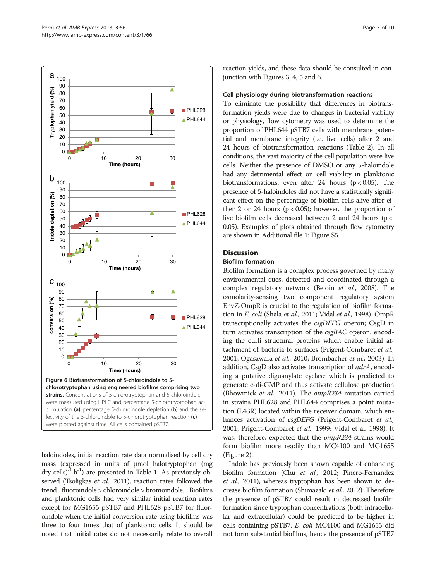<span id="page-6-0"></span>

haloindoles, initial reaction rate data normalised by cell dry mass (expressed in units of μmol halotryptophan (mg dry cells)<sup>-1</sup> h<sup>-1</sup>) are presented in Table [1.](#page-7-0) As previously ob-served (Tsoligkas et al., [2011](#page-9-0)), reaction rates followed the trend fluoroindole > chloroindole > bromoindole. Biofilms and planktonic cells had very similar initial reaction rates except for MG1655 pSTB7 and PHL628 pSTB7 for fluoroindole when the initial conversion rate using biofilms was three to four times that of planktonic cells. It should be noted that initial rates do not necessarily relate to overall

reaction yields, and these data should be consulted in conjunction with Figures [3](#page-4-0), [4](#page-5-0), [5](#page-5-0) and 6.

# Cell physiology during biotransformation reactions

To eliminate the possibility that differences in biotransformation yields were due to changes in bacterial viability or physiology, flow cytometry was used to determine the proportion of PHL644 pSTB7 cells with membrane potential and membrane integrity (i.e. live cells) after 2 and 24 hours of biotransformation reactions (Table [2\)](#page-7-0). In all conditions, the vast majority of the cell population were live cells. Neither the presence of DMSO or any 5-haloindole had any detrimental effect on cell viability in planktonic biotransformations, even after 24 hours ( $p < 0.05$ ). The presence of 5-haloindoles did not have a statistically significant effect on the percentage of biofilm cells alive after either 2 or 24 hours ( $p < 0.05$ ); however, the proportion of live biofilm cells decreased between 2 and 24 hours (p < 0.05). Examples of plots obtained through flow cytometry are shown in Additional file [1:](#page-8-0) Figure S5.

# **Discussion**

### Biofilm formation

Biofilm formation is a complex process governed by many environmental cues, detected and coordinated through a complex regulatory network (Beloin et al., [2008\)](#page-8-0). The osmolarity-sensing two component regulatory system EnvZ-OmpR is crucial to the regulation of biofilm forma-tion in E. coli (Shala et al., [2011](#page-9-0); Vidal et al., [1998\)](#page-9-0). OmpR transcriptionally activates the csgDEFG operon; CsgD in turn activates transcription of the csgBAC operon, encoding the curli structural proteins which enable initial attachment of bacteria to surfaces (Prigent-Combaret et al., [2001](#page-9-0); Ogasawara et al., [2010](#page-9-0); Brombacher et al., [2003\)](#page-8-0). In addition, CsgD also activates transcription of adrA, encoding a putative diguanylate cyclase which is predicted to generate c-di-GMP and thus activate cellulose production (Bhowmick et al., [2011](#page-8-0)). The ompR234 mutation carried in strains PHL628 and PHL644 comprises a point mutation (L43R) located within the receiver domain, which enhances activation of csgDEFG (Prigent-Combaret et al., [2001](#page-9-0); Prigent-Combaret et al., [1999;](#page-9-0) Vidal et al. [1998\)](#page-9-0). It was, therefore, expected that the *ompR234* strains would form biofilm more readily than MC4100 and MG1655 (Figure [2](#page-3-0)).

Indole has previously been shown capable of enhancing biofilm formation (Chu et al., [2012](#page-8-0); Pinero-Fernandez et al., [2011\)](#page-9-0), whereas tryptophan has been shown to decrease biofilm formation (Shimazaki et al., [2012](#page-9-0)). Therefore the presence of pSTB7 could result in decreased biofilm formation since tryptophan concentrations (both intracellular and extracellular) could be predicted to be higher in cells containing pSTB7. E. coli MC4100 and MG1655 did not form substantial biofilms, hence the presence of pSTB7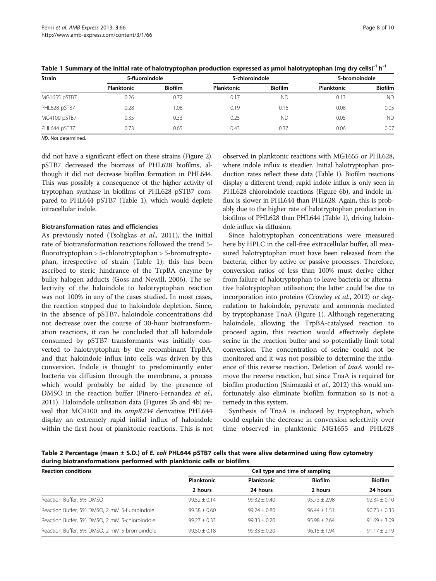| 5-fluoroindole    |                | 5-chloroindole    |                | 5-bromoindole |                |
|-------------------|----------------|-------------------|----------------|---------------|----------------|
| <b>Planktonic</b> | <b>Biofilm</b> | <b>Planktonic</b> | <b>Biofilm</b> | Planktonic    | <b>Biofilm</b> |
| 0.26              | 0.72           | 0.17              | <b>ND</b>      | 0.13          | <b>ND</b>      |
| 0.28              | 0.08           | 0.19              | 0.16           | 0.08          | 0.05           |
| 0.35              | 0.33           | 0.25              | <b>ND</b>      | 0.05          | <b>ND</b>      |
| 0.73              | 0.65           | 0.43              | 0.37           | 0.06          | 0.07           |
|                   |                |                   |                |               |                |

<span id="page-7-0"></span>Table 1 Summary of the initial rate of halotryptophan production expressed as µmol halotryptophan (mg dry cells)<sup>-1</sup> h<sup>-1</sup>

ND, Not determined.

did not have a significant effect on these strains (Figure [2](#page-3-0)). pSTB7 decreased the biomass of PHL628 biofilms, although it did not decrease biofilm formation in PHL644. This was possibly a consequence of the higher activity of tryptophan synthase in biofilms of PHL628 pSTB7 compared to PHL644 pSTB7 (Table 1), which would deplete intracellular indole.

# Biotransformation rates and efficiencies

As previously noted (Tsoligkas et al., [2011\)](#page-9-0), the initial rate of biotransformation reactions followed the trend 5 fluorotryptophan > 5-chlorotryptophan > 5-bromotryptophan, irrespective of strain (Table 1); this has been ascribed to steric hindrance of the TrpBA enzyme by bulky halogen adducts (Goss and Newill, [2006](#page-8-0)). The selectivity of the haloindole to halotryptophan reaction was not 100% in any of the cases studied. In most cases, the reaction stopped due to haloindole depletion. Since, in the absence of pSTB7, haloindole concentrations did not decrease over the course of 30-hour biotransformation reactions, it can be concluded that all haloindole consumed by pSTB7 transformants was initially converted to halotryptophan by the recombinant TrpBA, and that haloindole influx into cells was driven by this conversion. Indole is thought to predominantly enter bacteria via diffusion through the membrane, a process which would probably be aided by the presence of DMSO in the reaction buffer (Pinero-Fernandez et al., [2011](#page-9-0)). Haloindole utilisation data (Figures [3b](#page-4-0) and [4b](#page-5-0)) reveal that MC4100 and its ompR234 derivative PHL644 display an extremely rapid initial influx of haloindole within the first hour of planktonic reactions. This is not

observed in planktonic reactions with MG1655 or PHL628, where indole influx is steadier. Initial halotryptophan production rates reflect these data (Table 1). Biofilm reactions display a different trend; rapid indole influx is only seen in PHL628 chloroindole reactions (Figure [6](#page-6-0)b), and indole influx is slower in PHL644 than PHL628. Again, this is probably due to the higher rate of halotryptophan production in biofilms of PHL628 than PHL644 (Table 1), driving haloindole influx via diffusion.

Since halotryptophan concentrations were measured here by HPLC in the cell-free extracellular buffer, all measured halotryptophan must have been released from the bacteria, either by active or passive processes. Therefore, conversion ratios of less than 100% must derive either from failure of halotryptophan to leave bacteria or alternative halotryptophan utilisation; the latter could be due to incorporation into proteins (Crowley et al., [2012](#page-8-0)) or degradation to haloindole, pyruvate and ammonia mediated by tryptophanase TnaA (Figure [1](#page-1-0)). Although regenerating haloindole, allowing the TrpBA-catalysed reaction to proceed again, this reaction would effectively deplete serine in the reaction buffer and so potentially limit total conversion. The concentration of serine could not be monitored and it was not possible to determine the influence of this reverse reaction. Deletion of tnaA would remove the reverse reaction, but since TnaA is required for biofilm production (Shimazaki *et al.*, [2012\)](#page-9-0) this would unfortunately also eliminate biofilm formation so is not a remedy in this system.

Synthesis of TnaA is induced by tryptophan, which could explain the decrease in conversion selectivity over time observed in planktonic MG1655 and PHL628

Table 2 Percentage (mean ± S.D.) of E. coli PHL644 pSTB7 cells that were alive determined using flow cytometry during biotransformations performed with planktonic cells or biofilms

| <b>Reaction conditions</b>                    | Cell type and time of sampling |                   |                |                |  |  |
|-----------------------------------------------|--------------------------------|-------------------|----------------|----------------|--|--|
|                                               | Planktonic                     | <b>Planktonic</b> | <b>Biofilm</b> | <b>Biofilm</b> |  |  |
|                                               | 2 hours                        | 24 hours          | 2 hours        | 24 hours       |  |  |
| Reaction Buffer, 5% DMSO                      | $99.52 + 0.14$                 | $99.32 + 0.40$    | $95.73 + 2.98$ | $92.34 + 0.10$ |  |  |
| Reaction Buffer, 5% DMSO, 2 mM 5-fluoroindole | $99.38 + 0.60$                 | $99.24 + 0.80$    | $96.44 + 1.51$ | $90.73 + 0.35$ |  |  |
| Reaction Buffer, 5% DMSO, 2 mM 5-chloroindole | $99.27 + 0.33$                 | $99.33 + 0.20$    | $95.98 + 2.64$ | $91.69 + 3.09$ |  |  |
| Reaction Buffer, 5% DMSO, 2 mM 5-bromoindole  | $99.50 \pm 0.18$               | $99.33 + 0.20$    | $96.15 + 1.94$ | $91.17 + 2.19$ |  |  |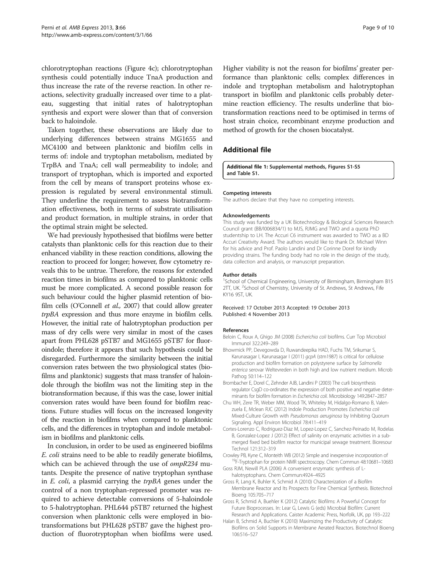<span id="page-8-0"></span>chlorotryptophan reactions (Figure [4](#page-5-0)c); chlorotryptophan synthesis could potentially induce TnaA production and thus increase the rate of the reverse reaction. In other reactions, selectivity gradually increased over time to a plateau, suggesting that initial rates of halotryptophan synthesis and export were slower than that of conversion back to haloindole.

Taken together, these observations are likely due to underlying differences between strains MG1655 and MC4100 and between planktonic and biofilm cells in terms of: indole and tryptophan metabolism, mediated by TrpBA and TnaA; cell wall permeability to indole; and transport of tryptophan, which is imported and exported from the cell by means of transport proteins whose expression is regulated by several environmental stimuli. They underline the requirement to assess biotransformation effectiveness, both in terms of substrate utilisation and product formation, in multiple strains, in order that the optimal strain might be selected.

We had previously hypothesised that biofilms were better catalysts than planktonic cells for this reaction due to their enhanced viability in these reaction conditions, allowing the reaction to proceed for longer; however, flow cytometry reveals this to be untrue. Therefore, the reasons for extended reaction times in biofilms as compared to planktonic cells must be more complicated. A second possible reason for such behaviour could the higher plasmid retention of biofilm cells (O'Connell *et al.*, [2007\)](#page-9-0) that could allow greater trpBA expression and thus more enzyme in biofilm cells. However, the initial rate of halotryptophan production per mass of dry cells were very similar in most of the cases apart from PHL628 pSTB7 and MG1655 pSTB7 for fluoroindole; therefore it appears that such hypothesis could be disregarded. Furthermore the similarity between the initial conversion rates between the two physiological states (biofilms and planktonic) suggests that mass transfer of haloindole through the biofilm was not the limiting step in the biotransformation because, if this was the case, lower initial conversion rates would have been found for biofilm reactions. Future studies will focus on the increased longevity of the reaction in biofilms when compared to planktonic cells, and the differences in tryptophan and indole metabolism in biofilms and planktonic cells.

In conclusion, in order to be used as engineered biofilms E. coli strains need to be able to readily generate biofilms, which can be achieved through the use of *ompR234* mutants. Despite the presence of native tryptophan synthase in E. coli, a plasmid carrying the trpBA genes under the control of a non tryptophan-repressed promoter was required to achieve detectable conversions of 5-haloindole to 5-halotryptophan. PHL644 pSTB7 returned the highest conversion when planktonic cells were employed in biotransformations but PHL628 pSTB7 gave the highest production of fluorotryptophan when biofilms were used.

Higher viability is not the reason for biofilms' greater performance than planktonic cells; complex differences in indole and tryptophan metabolism and halotryptophan transport in biofilm and planktonic cells probably determine reaction efficiency. The results underline that biotransformation reactions need to be optimised in terms of host strain choice, recombinant enzyme production and method of growth for the chosen biocatalyst.

# Additional file

[Additional file 1:](http://www.biomedcentral.com/content/supplementary/2191-0855-3-66-S1.docx) Supplemental methods, Figures S1-S5 and Table S1.

#### Competing interests

The authors declare that they have no competing interests.

#### Acknowledgements

This study was funded by a UK Biotechnology & Biological Sciences Research Council grant (BB/I006834/1) to MJS, RJMG and TWO and a quota PhD studentship to LH. The Accuri C6 instrument was awarded to TWO as a BD Accuri Creativity Award. The authors would like to thank Dr. Michael Winn for his advice and Prof. Paolo Landini and Dr Corinne Dorel for kindly providing strains. The funding body had no role in the design of the study, data collection and analysis, or manuscript preparation.

#### Author details

<sup>1</sup>School of Chemical Engineering, University of Birmingham, Birmingham B15 2TT, UK. <sup>2</sup>School of Chemistry, University of St. Andrews, St Andrews, Fife KY16 9ST, UK.

#### Received: 17 October 2013 Accepted: 19 October 2013 Published: 4 November 2013

#### References

- Beloin C, Roux A, Ghigo JM (2008) Escherichia coli biofilms. Curr Top Microbiol Immunol 322:249–289
- Bhowmick PP, Devegowda D, Ruwandeepika HAD, Fuchs TM, Srikumar S, Karunasagar I, Karunasagar I (2011) gcpA (stm1987) is critical for cellulose production and biofilm formation on polystyrene surface by Salmonella enterica serovar Weltevreden in both high and low nutrient medium. Microb Pathog 50:114–122
- Brombacher E, Dorel C, Zehnder AJB, Landini P (2003) The curli biosynthesis regulator CsgD co-ordinates the expression of both positive and negative determinants for biofilm formation in Escherichia coli. Microbiology 149:2847–2857
- Chu WH, Zere TR, Weber MM, Wood TK, Whiteley M, Hidalgo-Romano B, Valenzuela E, Mclean RJC (2012) Indole Production Promotes Escherichia coli Mixed-Culture Growth with Pseudomonas aeruginosa by Inhibiting Quorum Signaling. Appl Environ Microbiol 78:411–419
- Cortes-Lorenzo C, Rodriguez-Diaz M, Lopez-Lopez C, Sanchez-Peinado M, Rodelas B, Gonzalez-Lopez J (2012) Effect of salinity on enzymatic activities in a submerged fixed bed biofilm reactor for municipal sewage treatment. Bioresour Technol 121:312–319
- Crowley PB, Kyne C, Monteith WB (2012) Simple and inexpensive incorporation of 19F-Tryptophan for protein NMR spectroscopy. Chem Commun 48:10681–<sup>10683</sup>
- Goss RJM, Newill PLA (2006) A convenient enzymatic synthesis of Lhalotryptophans. Chem Commun:4924–4925
- Gross R, Lang K, Buhler K, Schmid A (2010) Characterization of a Biofilm Membrane Reactor and Its Prospects for Fine Chemical Synthesis. Biotechnol Bioeng 105:705–717
- Gross R, Schmid A, Buehler K (2012) Catalytic Biofilms: A Powerful Concept for Future Bioprocesses. In: Lear G, Lewis G (eds) Microbial Biofilm: Current Research and Applications. Caister Academic Press, Norfolk, UK, pp 193–222
- Halan B, Schmid A, Buchler K (2010) Maximizing the Productivity of Catalytic Biofilms on Solid Supports in Membrane Aerated Reactors. Biotechnol Bioeng 106:516–527